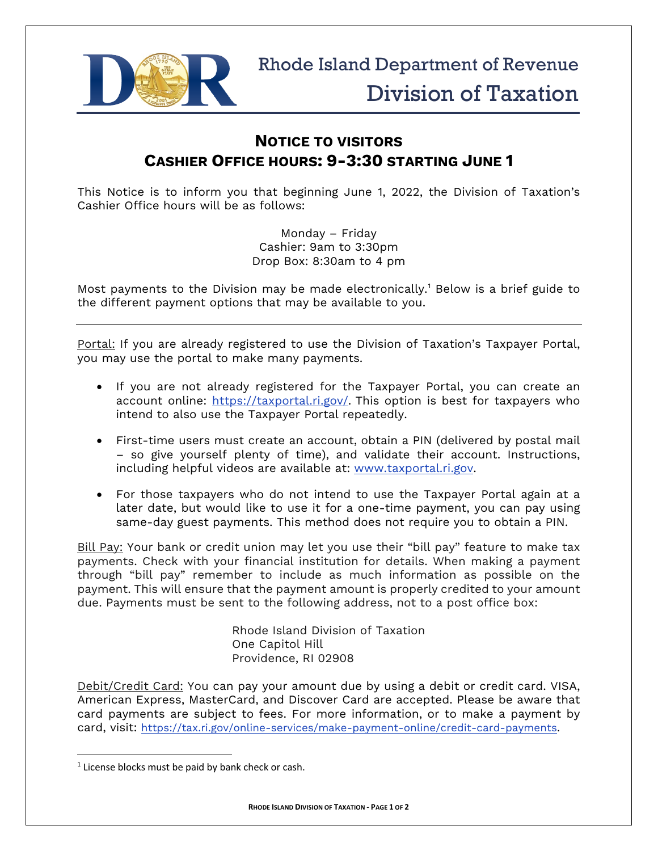

## **NOTICE TO VISITORS CASHIER OFFICE HOURS: 9-3:30 STARTING JUNE 1**

This Notice is to inform you that beginning June 1, 2022, the Division of Taxation's Cashier Office hours will be as follows:

> Monday – Friday Cashier: 9am to 3:30pm Drop Box: 8:30am to 4 pm

Most payments to the Division may be made electronically. [1](#page-0-0) Below is a brief guide to the different payment options that may be available to you.

Portal: If you are already registered to use the Division of Taxation's Taxpayer Portal, you may use the portal to make many payments.

- If you are not already registered for the Taxpayer Portal, you can create an account online: [https://taxportal.ri.gov/.](https://taxportal.ri.gov/) This option is best for taxpayers who intend to also use the Taxpayer Portal repeatedly.
- First-time users must create an account, obtain a PIN (delivered by postal mail – so give yourself plenty of time), and validate their account. Instructions, including helpful videos are available at: [www.taxportal.ri.gov.](https://taxportal.ri.gov/)
- For those taxpayers who do not intend to use the Taxpayer Portal again at a later date, but would like to use it for a one-time payment, you can pay using same-day guest payments. This method does not require you to obtain a PIN.

Bill Pay: Your bank or credit union may let you use their "bill pay" feature to make tax payments. Check with your financial institution for details. When making a payment through "bill pay" remember to include as much information as possible on the payment. This will ensure that the payment amount is properly credited to your amount due. Payments must be sent to the following address, not to a post office box:

> Rhode Island Division of Taxation One Capitol Hill Providence, RI 02908

Debit/Credit Card: You can pay your amount due by using a debit or credit card. VISA, American Express, MasterCard, and Discover Card are accepted. Please be aware that card payments are subject to fees. For more information, or to make a payment by card, visit: [https://tax.ri.gov/online-services/make-payment-online/credit-card-payments.](https://tax.ri.gov/online-services/make-payment-online/credit-card-payments)

<span id="page-0-0"></span> $1$  License blocks must be paid by bank check or cash.